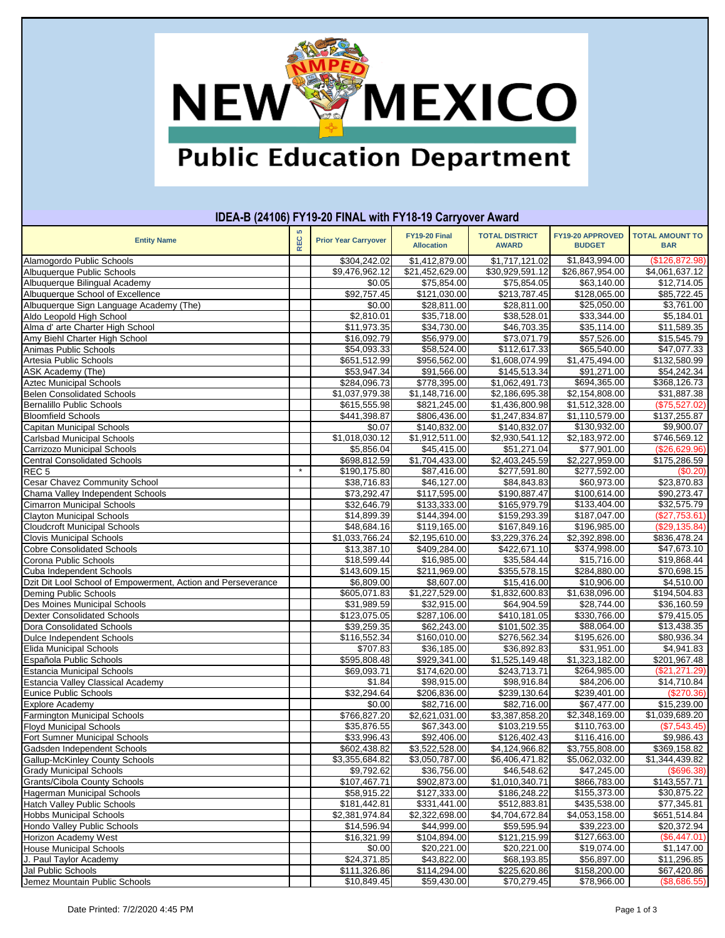

# **Public Education Department**

| <b>Entity Name</b>                                           | S<br><b>REC</b> | <b>Prior Year Carryover</b> | FY19-20 Final<br><b>Allocation</b> | <b>TOTAL DISTRICT</b><br><b>AWARD</b> | FY19-20 APPROVED<br><b>BUDGET</b> | <b>TOTAL AMOUNT TO</b><br><b>BAR</b> |
|--------------------------------------------------------------|-----------------|-----------------------------|------------------------------------|---------------------------------------|-----------------------------------|--------------------------------------|
| Alamogordo Public Schools                                    |                 | \$304,242.02                | \$1,412,879.00                     | \$1,717,121.02                        | \$1,843,994.00                    | (\$126,872.98)                       |
| Albuquerque Public Schools                                   |                 | \$9,476,962.12              | \$21,452,629.00                    | \$30,929,591.12                       | \$26,867,954.00                   | \$4,061,637.12                       |
| Albuquerque Bilingual Academy                                |                 | \$0.05                      | \$75,854.00                        | \$75,854.05                           | \$63,140.00                       | \$12,714.05                          |
| Albuquerque School of Excellence                             |                 | \$92,757.45                 | \$121,030.00                       | \$213,787.45                          | \$128,065.00                      | \$85,722.45                          |
| Albuquerque Sign Language Academy (The)                      |                 | \$0.00                      | \$28,811.00                        | \$28,811.00                           | \$25,050.00                       | \$3,761.00                           |
| Aldo Leopold High School                                     |                 | \$2,810.01                  | \$35,718.00                        | \$38,528.01                           | \$33,344.00                       | \$5,184.01                           |
| Alma d' arte Charter High School                             |                 | \$11,973.35                 | \$34,730.00                        | \$46,703.35                           | \$35,114.00                       | \$11,589.35                          |
| Amy Biehl Charter High School                                |                 | \$16,092.79                 | \$56,979.00                        | \$73,071.79                           | \$57,526.00                       | \$15,545.79                          |
| Animas Public Schools                                        |                 | \$54,093.33                 | \$58,524.00                        | \$112,617.33                          | \$65,540.00                       | \$47,077.33                          |
| Artesia Public Schools                                       |                 | \$651,512.99                | \$956,562.00                       | \$1,608,074.99                        | \$1,475,494.00                    | \$132,580.99                         |
| ASK Academy (The)                                            |                 | \$53,947.34                 | \$91,566.00                        | \$145,513.34                          | \$91,271.00                       | \$54,242.34                          |
| <b>Aztec Municipal Schools</b>                               |                 | \$284,096.73                | \$778,395.00                       | \$1,062,491.73                        | \$694,365.00                      | \$368,126.73                         |
| Belen Consolidated Schools                                   |                 | \$1,037,979.38              | \$1,148,716.00                     | \$2,186,695.38                        | \$2,154,808.00                    | \$31,887.38                          |
| <b>Bernalillo Public Schools</b>                             |                 | \$615,555.98                | \$821,245.00                       | \$1,436,800.98                        | \$1,512,328.00                    | (\$75,527.02)                        |
| <b>Bloomfield Schools</b>                                    |                 | \$441,398.87                | \$806,436.00                       | \$1,247,834.87                        | \$1,110,579.00                    | \$137,255.87                         |
| Capitan Municipal Schools                                    |                 | \$0.07                      | \$140,832.00                       | \$140,832.07                          | \$130,932.00                      | \$9,900.07                           |
| Carlsbad Municipal Schools                                   |                 | \$1,018,030.12              | \$1,912,511.00                     | \$2,930,541.12                        | \$2,183,972.00                    | \$746,569.12                         |
| Carrizozo Municipal Schools                                  |                 | \$5,856.04                  | \$45,415.00                        | \$51,271.04                           | \$77,901.00                       | (\$26,629.96)                        |
| <b>Central Consolidated Schools</b>                          |                 | \$698,812.59                | \$1,704,433.00                     | \$2,403,245.59                        | \$2,227,959.00                    | \$175,286.59                         |
| REC <sub>5</sub>                                             | $\star$         | \$190,175.80                | \$87,416.00                        | \$277,591.80                          | \$277,592.00                      | (\$0.20)                             |
| Cesar Chavez Community School                                |                 | \$38,716.83                 | \$46,127.00                        | \$84,843.83                           | \$60,973.00                       | \$23,870.83                          |
| Chama Valley Independent Schools                             |                 | \$73,292.47                 | \$117,595.00                       | \$190,887.47                          | \$100,614.00                      | \$90,273.47                          |
| Cimarron Municipal Schools                                   |                 | \$32,646.79                 | \$133,333.00                       | \$165,979.79                          | \$133,404.00                      | \$32,575.79                          |
| <b>Clayton Municipal Schools</b>                             |                 | \$14,899.39                 | \$144,394.00                       | \$159,293.39                          | \$187,047.00                      | (\$27,753.61)                        |
| Cloudcroft Municipal Schools                                 |                 | \$48,684.16                 | \$119,165.00                       | \$167,849.16                          | \$196,985.00                      | (\$29,135.84)                        |
| <b>Clovis Municipal Schools</b>                              |                 | \$1,033,766.24              | \$2,195,610.00                     | \$3,229,376.24                        | \$2,392,898.00                    | \$836,478.24                         |
| <b>Cobre Consolidated Schools</b>                            |                 | \$13,387.10                 | \$409,284.00                       | \$422,671.10                          | \$374,998.00                      | \$47,673.10                          |
| Corona Public Schools                                        |                 | \$18,599.44                 | \$16,985.00                        | \$35,584.44                           | \$15,716.00                       | \$19,868.44                          |
| Cuba Independent Schools                                     |                 | \$143,609.15                | \$211,969.00                       | \$355,578.15                          | \$284,880.00                      | \$70,698.15                          |
| Dzit Dit Lool School of Empowerment, Action and Perseverance |                 | \$6,809.00                  | \$8,607.00                         | \$15,416.00                           | \$10,906.00                       | \$4,510.00                           |
| Deming Public Schools                                        |                 | \$605,071.83                | \$1,227,529.00                     | \$1,832,600.83                        | \$1,638,096.00                    | \$194,504.83                         |
| Des Moines Municipal Schools                                 |                 | \$31,989.59                 | \$32,915.00                        | \$64,904.59                           | \$28,744.00                       | \$36,160.59                          |
| <b>Dexter Consolidated Schools</b>                           |                 | \$123,075.05                | \$287,106.00                       | \$410,181.05                          | \$330,766.00                      | \$79,415.05                          |
| Dora Consolidated Schools                                    |                 | \$39,259.35                 | \$62,243.00                        | \$101,502.35                          | \$88,064.00                       | \$13,438.35                          |
| Dulce Independent Schools                                    |                 | \$116,552.34                | \$160,010.00                       | \$276,562.34                          | \$195,626.00                      | \$80,936.34                          |
| Elida Municipal Schools                                      |                 | \$707.83                    | \$36,185.00                        | \$36,892.83                           | \$31,951.00                       | \$4,941.83                           |
| Española Public Schools                                      |                 | \$595,808.48                | \$929,341.00                       | \$1,525,149.48                        | \$1,323,182.00                    | \$201,967.48                         |
| Estancia Municipal Schools                                   |                 | \$69,093.71                 | \$174,620.00                       | \$243,713.71                          | \$264,985.00                      | (\$21,271.29)                        |
| Estancia Valley Classical Academy                            |                 | \$1.84                      | \$98,915.00                        | \$98,916.84                           | \$84,206.00                       | \$14,710.84                          |
| Eunice Public Schools                                        |                 | \$32,294.64                 | \$206,836.00                       | $\overline{$239,130.64}$              | \$239,401.00                      | (\$270.36)                           |
| Explore Academy                                              |                 | \$0.00                      | \$82,716.00                        | \$82,716.00                           | \$67,477.00                       | \$15,239.00                          |
| <b>Farmington Municipal Schools</b>                          |                 | \$766,827.20                | \$2,621,031.00                     | \$3,387,858.20                        | \$2,348,169.00                    | \$1,039,689.20                       |
| <b>Floyd Municipal Schools</b>                               |                 | \$35,876.55                 | \$67,343.00                        | \$103,219.55                          | \$110,763.00                      | (\$7.543.45)                         |
| Fort Sumner Municipal Schools                                |                 | \$33,996.43                 | \$92,406.00                        | \$126,402.43                          | \$116,416.00                      | \$9,986.43                           |
| Gadsden Independent Schools                                  |                 | \$602,438.82                | \$3,522,528.00                     | \$4,124,966.82                        | \$3,755,808.00                    | \$369,158.82                         |
| Gallup-McKinley County Schools                               |                 | \$3,355,684.82              | \$3,050,787.00                     | \$6,406,471.82                        | \$5,062,032.00                    | \$1,344,439.82                       |
| Grady Municipal Schools                                      |                 | \$9,792.62                  | \$36,756.00                        | \$46,548.62                           | \$47,245.00                       | $($ \$696.38)                        |
| <b>Grants/Cibola County Schools</b>                          |                 | \$107,467.71                | \$902,873.00                       | \$1,010,340.71                        | \$866,783.00                      | \$143,557.71                         |
| Hagerman Municipal Schools                                   |                 | \$58,915.22                 | \$127,333.00                       | \$186,248.22                          | \$155,373.00                      | \$30,875.22                          |
| <b>Hatch Valley Public Schools</b>                           |                 | \$181,442.81                | \$331,441.00                       | \$512,883.81                          | \$435,538.00                      | \$77,345.81                          |
| <b>Hobbs Municipal Schools</b>                               |                 | \$2,381,974.84              | \$2,322,698.00                     | \$4,704,672.84                        | \$4,053,158.00                    | \$651,514.84                         |
| Hondo Valley Public Schools                                  |                 | \$14,596.94                 | \$44,999.00                        | \$59,595.94                           | \$39,223.00                       | \$20,372.94                          |
| Horizon Academy West                                         |                 | \$16,321.99                 | \$104,894.00                       | \$121,215.99                          | \$127,663.00                      | (\$6,447.01)                         |
| House Municipal Schools                                      |                 | \$0.00                      | \$20,221.00                        | \$20,221.00                           | \$19,074.00                       | \$1,147.00                           |
| J. Paul Taylor Academy                                       |                 | \$24,371.85                 | \$43,822.00                        | \$68,193.85                           | \$56,897.00                       | \$11,296.85                          |
| Jal Public Schools                                           |                 | \$111,326.86                | \$114,294.00                       | \$225,620.86                          | \$158,200.00                      | \$67,420.86                          |
| Jemez Mountain Public Schools                                |                 | \$10,849.45                 | \$59,430.00                        | \$70,279.45                           | \$78,966.00                       | (\$8,686.55)                         |

### **IDEA-B (24106) FY19-20 FINAL with FY18-19 Carryover Award**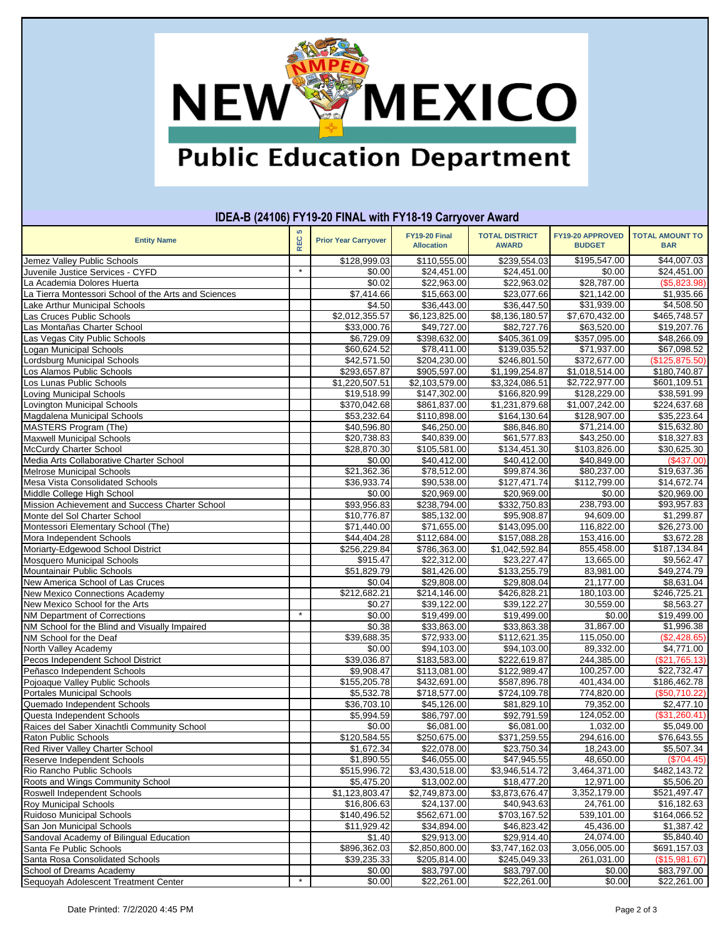

## **Public Education Department**

#### **Entity Name REC 5 Prior Year Carryover FY19-20 Final Allocation TOTAL DISTRICT AWARD FY19-20 APPROVED BUDGET TOTAL AMOUNT TO BAR IDEA-B (24106) FY19-20 FINAL with FY18-19 Carryover Award** Jemez Valley Public Schools \$128,999.03 \$110,555.00 \$239,554.03 \$195,547.00 \$44,007.03 Juvenile Justice Services - CYFD \* \$0.00 \$24,451.00 \$24,451.00 \$0.00 \$24,451.00 La Academia Dolores Huerta \$0.02 \$22,963.00 \$22,963.02 \$28,787.00 (\$5,823.98) La Tierra Montessori School of the Arts and Sciences | | \$7,414.66 | \$15,663.00 | \$23,077.66 Lake Arthur Municipal Schools \$4.50 \$36,443.00 \$36,447.50 \$31,939.00 \$4,508.50 Las Cruces Public Schools \$2,012,355.57 \$6,123,825.00 \$8,136,180.57 \$7,670,432.00 \$465,748.57 Las Montañas Charter School \$33,000.76 \$49,727.00 \$82,727.76 \$63,520.00 \$19,207.76<br>Las Vegas City Public Schools \$6.729.09 \$398.632.00 \$405.361.09 \$357,095.00 Las Vegas City Public Schools \$405,361.09 \$398,632.00 \$405,361.09 Logan Municipal Schools \$60,624.52 \$78,411.00 \$139,035.52 \$71,937.00 \$67,098.52 Lordsburg Municipal Schools \$42,571.50 \$204,230.00 \$246,801.50 \$372,677.00 (\$125,875.50) Los Alamos Public Schools \$293,657.87 \$905,597.00 \$1,199,254.87 \$1,018,514.00 \$180,740.87 Los Lunas Public Schools \$1,220,507.51 \$2,103,579.00 \$3,324,086.51 \$2,722,977.00 Loving Municipal Schools \$19,518.99 \$147,302.00 \$166,820.99 \$128,229.00 \$38,591.99 Lovington Municipal Schools \$370,042.68 \$861,837.00 \$1,231,879.68 \$1,007,242.00 \$224,637.68 Magdalena Municipal Schools \$53,232.64 \$110,898.00 \$164,130.64 \$128,907.00 \$35,223.64 MASTERS Program (The) \$40,596.80 \$46,250.00 \$86,846.80 \$71,214.00 \$15,632.80 Maxwell Municipal Schools **820,738.83** \$40,839.00 \$61,577.83 \$43,250.00 \$18,327.83 McCurdy Charter School \$28,870.30 \$105,581.00 \$134,451.30 \$103,826.00 \$30,625.30<br>Media Arts Collaborative Charter School \$0.00 \$40.412.00 \$40.412.00 \$40.849.00 Media Arts Collaborative Charter School **19.00 \$10.00 \$40.412.00** \$40,412.00 \$40,849.00 Melrose Municipal Schools \$21,362.36 \$78,512.00 \$99,874.36 \$80,237.00 \$19,637.36 Mesa Vista Consolidated Schools \$36,933.74 \$90,538.00 \$127,471.74 \$112,799.00 \$14,672.74 Middle College High School \$0.00 \$20,969.00 \$20,969.00 \$0.00 \$20,969.00 Mission Achievement and Success Charter School \$93,956.83 \$238,794.00 \$332,750.83 238,793.00 \$93,957.83 Monte del Sol Charter School **61,299.87 \$10,776.87** \$85,132.00 \$95,908.87 94,609.00 \$1,299.87 Montessori Elementary School (The) \$71,440.00 \$71,655.00 \$143,095.00 116,822.00 \$26,273.00 Mora Independent Schools \$44,404.28 \$112,684.00 \$157,088.28 153,416.00 \$3,672.28 Moriarty-Edgewood School District \$256,229.84 | \$786,363.00 | \$1,042,592.84 | 855,458.00 | \$187,134.84 Mosquero Municipal Schools \$915.47 \$22,312.00 \$23,227.47 13,665.00 \$9,562.47 Mountainair Public Schools \$51,829.79 \$81,426.00 \$133,255.79 83,981.00 \$49,274.79 New America School of Las Cruces \$0.04 \$29,808.00 \$29,808.04 21,177.00 \$8,631.04 New Mexico Connections Academy \$212,682.21 \$214,146.00 \$426,828.21 180,103.00 \$246,725.21 New Mexico School for the Arts \$0.27 \$39,122.00 \$39,122.27 30,559.00 \$8,563.27 NM Department of Corrections \* \$0.00 \$19,499.00 \$19,499.00 \$0.00 \$19,499.00 NM School for the Blind and Visually Impaired <br>
NM School for the Deaf (15,050.00 \$112,621.35 \$113,650.00 \$112,621.35 \$115,050.00 \$112,621.35 \$115,050.00 \$11 NM School for the Deaf \$39,688.35 \$72,933.00 \$112,621.35 115,050.00 (\$2,428.65) North Valley Academy \$0.00 \$94,103.00 \$94,103.00 89,332.00 \$4,771.00 Pecos Independent School District **1989 120 120 120 120 139,036.87** \$183,583.00 \$222,619.87 244,385.00 (\$21,765.13 Peñasco Independent Schools \$9,908.47 \$113,081.00 \$122,989.47 100,257.00 \$22,732.47 Pojoaque Valley Public Schools Portales Municipal Schools \$5,532.78 \$718,577.00 \$724,109.78 774,820.00 (\$50,710.22) Quemado Independent Schools \$36,703.10 \$45,126.00 \$81,829.10 79,352.00 \$2,477.10 Questa Independent Schools \$5,994.59 \$86,797.00 \$92,791.59 124,052.00 (\$31,260.41) Raices del Saber Xinachtli Community School **1,032.00** \$6,081.00 \$6,081.00 \$6,081.00 \$5,049.00 \$5,049.00 Raton Public Schools \$120,584.55 \$250,675.00 \$371,259.55 294,616.00 \$16,643.55<br>Red River Valley Charter School \$1,672.34 \$22,078.00 \$23,750.34 18,243.00 \$5,507.34 Red River Valley Charter School \$1,672.34 \$22,078.00 \$23,750.34 18,243.00 \$5,507.34 Reserve Independent Schools **1.8** \$1,890.55 **1.890.55** \$46,055.00 \$47,945.55 48,650.00 **1.8950.00** (\$704.45 Rio Rancho Public Schools **1996 12:00 12:00 13:00 13:00 13:00** \$3,430,518.00 \$3,946,514.72 3,464,371.00 \$482,143.72 Roots and Wings Community School **12,971.00 \$5,606.20 \$13,002.00** \$13,002.00 **\$18,477.20** 12,971.00 \$5,506.20 Roswell Independent Schools **1992 12:20 12:20 12:30 12:30 12:30 13:303.47** \$2,749,873.00 \$3,873,676.47 3,352,179.00 \$521,497.47 Roy Municipal Schools \$16,806.63 \$24,137.00 \$40,943.63 24,761.00 \$16,182.63 Ruidoso Municipal Schools \$140,496.52 \$562,671.00 \$703,167.52 539,101.00 \$164,066.52<br>San Jon Municipal Schools \$11,929.42 \$34,894.00 \$46,823.42 45,436.00 \$1,3 San Jon Municipal Schools \$11,929.42 \$34,894.00 \$46,823.42 45,436.00 \$1,387.42 Sandoval Academy of Bilingual Education **19. 19. 19. 12.40 \$1.40** \$29,913.00 \$29,914.40 **\$29,914.40** 24,074.00 \$5,840.40 Santa Fe Public Schools \$896,362.03 \$2,850,800.00 \$3,747,162.03 3,056,005.00 \$691,157.03 Santa Rosa Consolidated Schools **1990 12:33** \$39,235.33 \$205,814.00 \$245,049.33 261,031.00 \$261,031.00 (\$15,981.67 School of Dreams Academy \$0.00 \$83,797.00 \$83,797.00 \$0.00 \$83,797.00 Sequoyah Adolescent Treatment Center **\*** \* | \$0.00 \$22,261.00 \$22,261.00 \$0.00 \$0.00 \$22,261.00